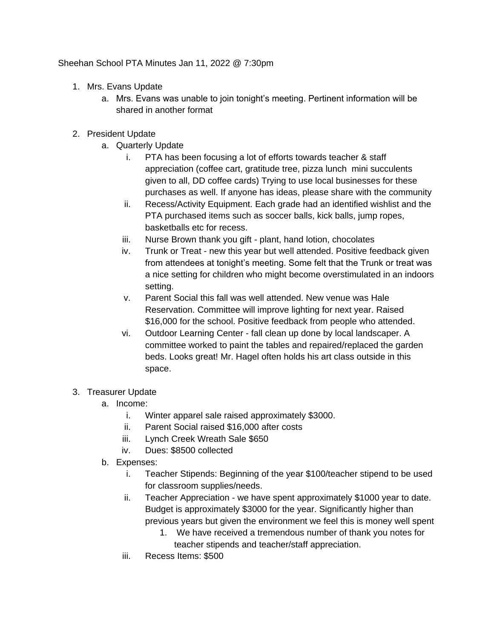Sheehan School PTA Minutes Jan 11, 2022 @ 7:30pm

- 1. Mrs. Evans Update
	- a. Mrs. Evans was unable to join tonight's meeting. Pertinent information will be shared in another format
- 2. President Update
	- a. Quarterly Update
		- i. PTA has been focusing a lot of efforts towards teacher & staff appreciation (coffee cart, gratitude tree, pizza lunch mini succulents given to all, DD coffee cards) Trying to use local businesses for these purchases as well. If anyone has ideas, please share with the community
		- ii. Recess/Activity Equipment. Each grade had an identified wishlist and the PTA purchased items such as soccer balls, kick balls, jump ropes, basketballs etc for recess.
		- iii. Nurse Brown thank you gift plant, hand lotion, chocolates
		- iv. Trunk or Treat new this year but well attended. Positive feedback given from attendees at tonight's meeting. Some felt that the Trunk or treat was a nice setting for children who might become overstimulated in an indoors setting.
		- v. Parent Social this fall was well attended. New venue was Hale Reservation. Committee will improve lighting for next year. Raised \$16,000 for the school. Positive feedback from people who attended.
		- vi. Outdoor Learning Center fall clean up done by local landscaper. A committee worked to paint the tables and repaired/replaced the garden beds. Looks great! Mr. Hagel often holds his art class outside in this space.

## 3. Treasurer Update

- a. Income:
	- i. Winter apparel sale raised approximately \$3000.
	- ii. Parent Social raised \$16,000 after costs
	- iii. Lynch Creek Wreath Sale \$650
	- iv. Dues: \$8500 collected
- b. Expenses:
	- i. Teacher Stipends: Beginning of the year \$100/teacher stipend to be used for classroom supplies/needs.
	- ii. Teacher Appreciation we have spent approximately \$1000 year to date. Budget is approximately \$3000 for the year. Significantly higher than previous years but given the environment we feel this is money well spent
		- 1. We have received a tremendous number of thank you notes for teacher stipends and teacher/staff appreciation.
	- iii. Recess Items: \$500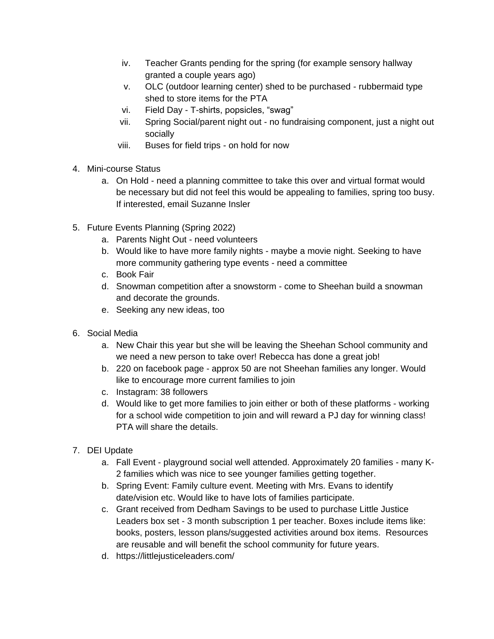- iv. Teacher Grants pending for the spring (for example sensory hallway granted a couple years ago)
- v. OLC (outdoor learning center) shed to be purchased rubbermaid type shed to store items for the PTA
- vi. Field Day T-shirts, popsicles, "swag"
- vii. Spring Social/parent night out no fundraising component, just a night out socially
- viii. Buses for field trips on hold for now
- 4. Mini-course Status
	- a. On Hold need a planning committee to take this over and virtual format would be necessary but did not feel this would be appealing to families, spring too busy. If interested, email Suzanne Insler
- 5. Future Events Planning (Spring 2022)
	- a. Parents Night Out need volunteers
	- b. Would like to have more family nights maybe a movie night. Seeking to have more community gathering type events - need a committee
	- c. Book Fair
	- d. Snowman competition after a snowstorm come to Sheehan build a snowman and decorate the grounds.
	- e. Seeking any new ideas, too
- 6. Social Media
	- a. New Chair this year but she will be leaving the Sheehan School community and we need a new person to take over! Rebecca has done a great job!
	- b. 220 on facebook page approx 50 are not Sheehan families any longer. Would like to encourage more current families to join
	- c. Instagram: 38 followers
	- d. Would like to get more families to join either or both of these platforms working for a school wide competition to join and will reward a PJ day for winning class! PTA will share the details.
- 7. DEI Update
	- a. Fall Event playground social well attended. Approximately 20 families many K-2 families which was nice to see younger families getting together.
	- b. Spring Event: Family culture event. Meeting with Mrs. Evans to identify date/vision etc. Would like to have lots of families participate.
	- c. Grant received from Dedham Savings to be used to purchase Little Justice Leaders box set - 3 month subscription 1 per teacher. Boxes include items like: books, posters, lesson plans/suggested activities around box items. Resources are reusable and will benefit the school community for future years.
	- d. https://littlejusticeleaders.com/